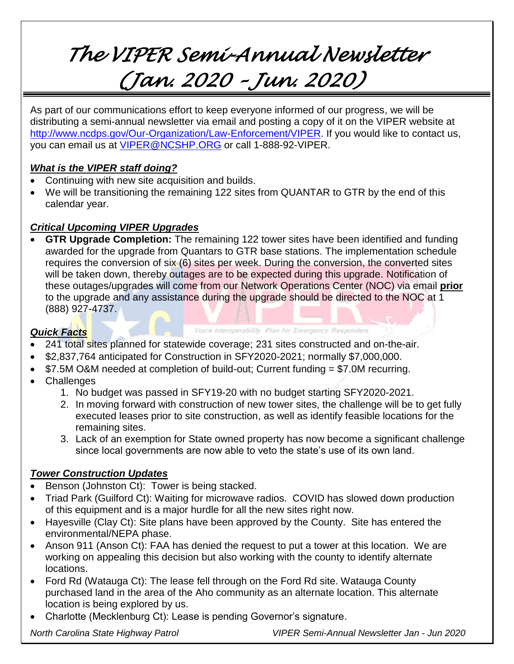# *The VIPER Semi-Annual Newsletter (Jan. 2020 – Jun. 2020)*

As part of our communications effort to keep everyone informed of our progress, we will be distributing a semi-annual newsletter via email and posting a copy of it on the VIPER website at [http://www.ncdps.gov/Our-Organization/Law-Enforcement/VIPER.](http://www.ncdps.gov/Our-Organization/Law-Enforcement/VIPER) If you would like to contact us, you can email us at [VIPER@NCSHP.ORG](mailto:VIPER@NCSHP.ORG) or call 1-888-92-VIPER.

### *What is the VIPER staff doing?*

- Continuing with new site acquisition and builds.
- We will be transitioning the remaining 122 sites from QUANTAR to GTR by the end of this calendar year.

## *Critical Upcoming VIPER Upgrades*

• **GTR Upgrade Completion:** The remaining 122 tower sites have been identified and funding awarded for the upgrade from Quantars to GTR base stations. The implementation schedule requires the conversion of six (6) sites per week. During the conversion, the converted sites will be taken down, thereby outages are to be expected during this upgrade. Notification of these outages/upgrades will come from our Network Operations Center (NOC) via email **prior** to the upgrade and any assistance during the upgrade should be directed to the NOC at 1 (888) 927-4737.

### *Quick Facts*

Voice Interoperability Plan for Emergency Responders

- 241 total sites planned for statewide coverage; 231 sites constructed and on-the-air.
- \$2,837,764 anticipated for Construction in SFY2020-2021; normally \$7,000,000.
- \$7.5M O&M needed at completion of build-out; Current funding = \$7.0M recurring.
- Challenges
	- 1. No budget was passed in SFY19-20 with no budget starting SFY2020-2021.
	- 2. In moving forward with construction of new tower sites, the challenge will be to get fully executed leases prior to site construction, as well as identify feasible locations for the remaining sites.
	- 3. Lack of an exemption for State owned property has now become a significant challenge since local governments are now able to veto the state's use of its own land.

## *Tower Construction Updates*

- Benson (Johnston Ct): Tower is being stacked.
- Triad Park (Guilford Ct): Waiting for microwave radios. COVID has slowed down production of this equipment and is a major hurdle for all the new sites right now.
- Hayesville (Clay Ct): Site plans have been approved by the County. Site has entered the environmental/NEPA phase.
- Anson 911 (Anson Ct): FAA has denied the request to put a tower at this location. We are working on appealing this decision but also working with the county to identify alternate locations.
- Ford Rd (Watauga Ct): The lease fell through on the Ford Rd site. Watauga County purchased land in the area of the Aho community as an alternate location. This alternate location is being explored by us.
- Charlotte (Mecklenburg Ct): Lease is pending Governor's signature.

*North Carolina State Highway Patrol VIPER Semi-Annual Newsletter Jan - Jun 2020*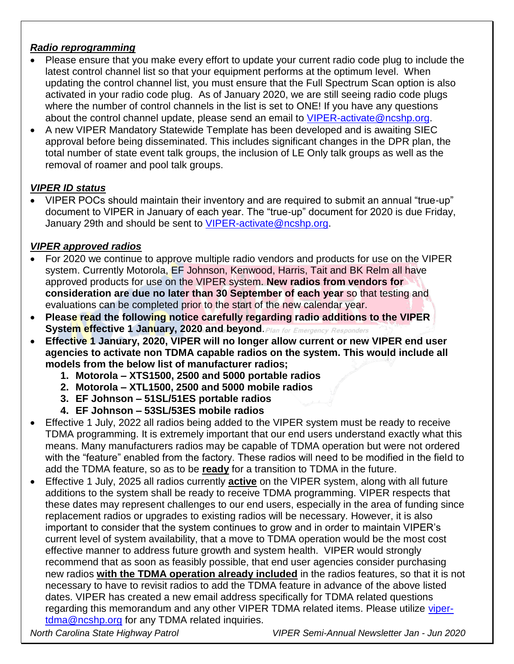## *Radio reprogramming*

- Please ensure that you make every effort to update your current radio code plug to include the latest control channel list so that your equipment performs at the optimum level. When updating the control channel list, you must ensure that the Full Spectrum Scan option is also activated in your radio code plug. As of January 2020, we are still seeing radio code plugs where the number of control channels in the list is set to ONE! If you have any questions about the control channel update, please send an email to VIPER-activate @ncshp.org.
- A new VIPER Mandatory Statewide Template has been developed and is awaiting SIEC approval before being disseminated. This includes significant changes in the DPR plan, the total number of state event talk groups, the inclusion of LE Only talk groups as well as the removal of roamer and pool talk groups.

## *VIPER ID status*

• VIPER POCs should maintain their inventory and are required to submit an annual "true-up" document to VIPER in January of each year. The "true-up" document for 2020 is due Friday, January 29th and should be sent to [VIPER-activate@ncshp.org.](mailto:VIPER-activate@ncshp.org)

## *VIPER approved radios*

- For 2020 we continue to approve multiple radio vendors and products for use on the VIPER system. Currently Motorola, EF Johnson, Kenwood, Harris, Tait and BK Relm all have approved products for use on the VIPER system. **New radios from vendors for consideration are due no later than 30 September of each year** so that testing and evaluations can be completed prior to the start of the new calendar year.
- **Please read the following notice carefully regarding radio additions to the VIPER System effective 1 January, 2020 and beyond.** Plan for Emergency Responders
- **Effective 1 January, 2020, VIPER will no longer allow current or new VIPER end user agencies to activate non TDMA capable radios on the system. This would include all models from the below list of manufacturer radios;**
	- **1. Motorola – XTS1500, 2500 and 5000 portable radios**
	- **2. Motorola – XTL1500, 2500 and 5000 mobile radios**
	- **3. EF Johnson – 51SL/51ES portable radios**
	- **4. EF Johnson – 53SL/53ES mobile radios**
- Effective 1 July, 2022 all radios being added to the VIPER system must be ready to receive TDMA programming. It is extremely important that our end users understand exactly what this means. Many manufacturers radios may be capable of TDMA operation but were not ordered with the "feature" enabled from the factory. These radios will need to be modified in the field to add the TDMA feature, so as to be **ready** for a transition to TDMA in the future.
- Effective 1 July, 2025 all radios currently **active** on the VIPER system, along with all future additions to the system shall be ready to receive TDMA programming. VIPER respects that these dates may represent challenges to our end users, especially in the area of funding since replacement radios or upgrades to existing radios will be necessary. However, it is also important to consider that the system continues to grow and in order to maintain VIPER's current level of system availability, that a move to TDMA operation would be the most cost effective manner to address future growth and system health. VIPER would strongly recommend that as soon as feasibly possible, that end user agencies consider purchasing new radios **with the TDMA operation already included** in the radios features, so that it is not necessary to have to revisit radios to add the TDMA feature in advance of the above listed dates. VIPER has created a new email address specifically for TDMA related questions regarding this memorandum and any other VIPER TDMA related items. Please utilize [viper](mailto:viper-tdma@ncshp.org)[tdma@ncshp.org](mailto:viper-tdma@ncshp.org) for any TDMA related inquiries.

*North Carolina State Highway Patrol VIPER Semi-Annual Newsletter Jan - Jun 2020*